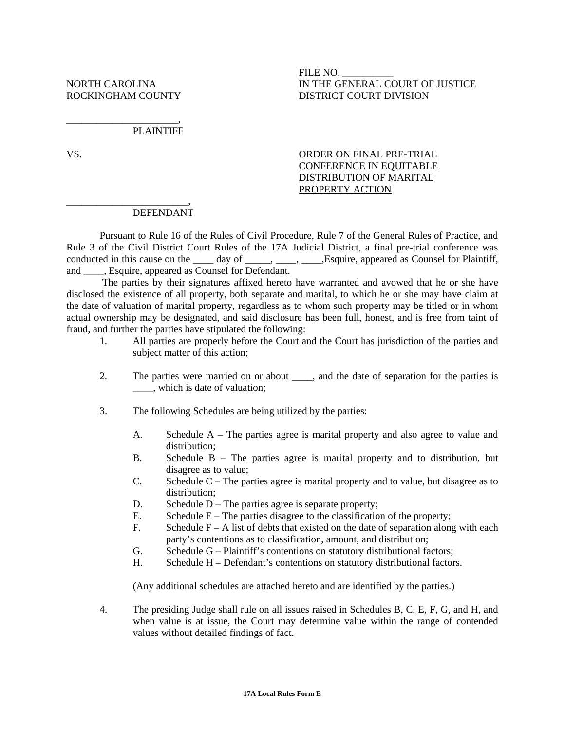\_\_\_\_\_\_\_\_\_\_\_\_\_\_\_\_\_\_\_\_\_\_\_\_,

## FILE NO. \_\_\_\_\_\_\_\_\_\_ NORTH CAROLINA IN THE GENERAL COURT OF JUSTICE ROCKINGHAM COUNTY DISTRICT COURT DIVISION

## \_\_\_\_\_\_\_\_\_\_\_\_\_\_\_\_\_\_\_\_\_\_, PLAINTIFF

## VS. ORDER ON FINAL PRE-TRIAL CONFERENCE IN EQUITABLE DISTRIBUTION OF MARITAL PROPERTY ACTION

## DEFENDANT

 Pursuant to Rule 16 of the Rules of Civil Procedure, Rule 7 of the General Rules of Practice, and Rule 3 of the Civil District Court Rules of the 17A Judicial District, a final pre-trial conference was conducted in this cause on the \_\_\_\_ day of \_\_\_\_\_, \_\_\_\_, \_\_\_\_\_, Esquire, appeared as Counsel for Plaintiff, and  $\qquad$ , Esquire, appeared as Counsel for Defendant.

 The parties by their signatures affixed hereto have warranted and avowed that he or she have disclosed the existence of all property, both separate and marital, to which he or she may have claim at the date of valuation of marital property, regardless as to whom such property may be titled or in whom actual ownership may be designated, and said disclosure has been full, honest, and is free from taint of fraud, and further the parties have stipulated the following:

- 1. All parties are properly before the Court and the Court has jurisdiction of the parties and subject matter of this action;
- 2. The parties were married on or about \_\_\_\_, and the date of separation for the parties is \_\_\_\_, which is date of valuation;
- 3. The following Schedules are being utilized by the parties:
	- A. Schedule A The parties agree is marital property and also agree to value and distribution;
	- B. Schedule B The parties agree is marital property and to distribution, but disagree as to value;
	- C. Schedule C The parties agree is marital property and to value, but disagree as to distribution;
	- D. Schedule  $D$  The parties agree is separate property;
	- E. Schedule  $E$  The parties disagree to the classification of the property;
	- F. Schedule  $F A$  list of debts that existed on the date of separation along with each party's contentions as to classification, amount, and distribution;
	- G. Schedule G Plaintiff's contentions on statutory distributional factors;
	- H. Schedule H Defendant's contentions on statutory distributional factors.

(Any additional schedules are attached hereto and are identified by the parties.)

4. The presiding Judge shall rule on all issues raised in Schedules B, C, E, F, G, and H, and when value is at issue, the Court may determine value within the range of contended values without detailed findings of fact.